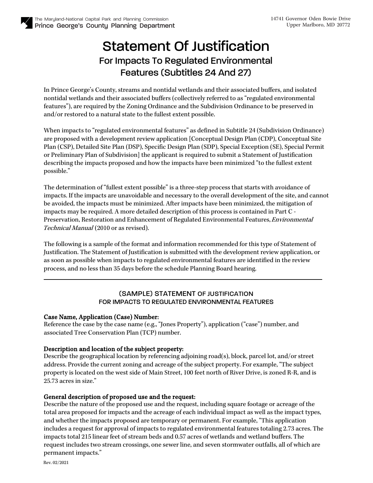# Statement Of Justification For Impacts To Regulated Environmental Features (Subtitles 24 And 27)

In Prince George's County, streams and nontidal wetlands and their associated buffers, and isolated nontidal wetlands and their associated buffers (collectively referred to as "regulated environmental features"), are required by the Zoning Ordinance and the Subdivision Ordinance to be preserved in and/or restored to a natural state to the fullest extent possible.

When impacts to "regulated environmental features" as defined in Subtitle 24 (Subdivision Ordinance) are proposed with a development review application [Conceptual Design Plan (CDP), Conceptual Site Plan (CSP), Detailed Site Plan (DSP), Specific Design Plan (SDP), Special Exception (SE), Special Permit or Preliminary Plan of Subdivision] the applicant is required to submit a Statement of Justification describing the impacts proposed and how the impacts have been minimized "to the fullest extent possible."

The determination of "fullest extent possible" is a three-step process that starts with avoidance of impacts. If the impacts are unavoidable and necessary to the overall development of the site, and cannot be avoided, the impacts must be minimized. After impacts have been minimized, the mitigation of impacts may be required. A more detailed description of this process is contained in Part C - Preservation, Restoration and Enhancement of Regulated Environmental Features, Environmental Technical Manual (2010 or as revised).

The following is a sample of the format and information recommended for this type of Statement of Justification. The Statement of Justification is submitted with the development review application, or as soon as possible when impacts to regulated environmental features are identified in the review process, and no less than 35 days before the schedule Planning Board hearing.

## (SAMPLE) STATEMENT OF JUSTIFICATION FOR IMPACTS TO REGULATED ENVIRONMENTAL FEATURES

### Case Name, Application (Case) Number:

Reference the case by the case name (e.g., "Jones Property"), application ("case") number, and associated Tree Conservation Plan (TCP) number.

## Description and location of the subject property:

Describe the geographical location by referencing adjoining road(s), block, parcel lot, and/or street address. Provide the current zoning and acreage of the subject property. For example, "The subject property is located on the west side of Main Street, 100 feet north of River Drive, is zoned R-R, and is 25.73 acres in size."

## General description of proposed use and the request:

Describe the nature of the proposed use and the request, including square footage or acreage of the total area proposed for impacts and the acreage of each individual impact as well as the impact types, and whether the impacts proposed are temporary or permanent. For example, "This application includes a request for approval of impacts to regulated environmental features totaling 2.73 acres. The impacts total 215 linear feet of stream beds and 0.57 acres of wetlands and wetland buffers. The request includes two stream crossings, one sewer line, and seven stormwater outfalls, all of which are permanent impacts."

Rev. 02/2021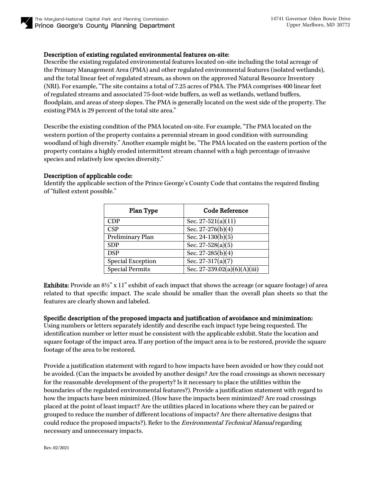

#### Description of existing regulated environmental features on-site:

Describe the existing regulated environmental features located on-site including the total acreage of the Primary Management Area (PMA) and other regulated environmental features (isolated wetlands), and the total linear feet of regulated stream, as shown on the approved Natural Resource Inventory (NRI). For example, "The site contains a total of 7.25 acres of PMA. The PMA comprises 400 linear feet of regulated streams and associated 75-foot-wide buffers, as well as wetlands, wetland buffers, floodplain, and areas of steep slopes. The PMA is generally located on the west side of the property. The existing PMA is 29 percent of the total site area."

Describe the existing condition of the PMA located on-site. For example, "The PMA located on the western portion of the property contains a perennial stream in good condition with surrounding woodland of high diversity." Another example might be, "The PMA located on the eastern portion of the property contains a highly eroded intermittent stream channel with a high percentage of invasive species and relatively low species diversity."

#### Description of applicable code:

Identify the applicable section of the Prince George's County Code that contains the required finding of "fullest extent possible."

| <b>Code Reference</b>                 |
|---------------------------------------|
| Sec. 27-521(a)(11)                    |
| Sec. $27-276(b)(4)$                   |
| Sec. $24-130(b)(5)$                   |
| Sec. 27-528(a)(5)                     |
| Sec. 27-285(b)(4)                     |
| $\overline{\text{Sec. 27-317(a)(7)}}$ |
| Sec. 27-239.02(a)(6)(A)(iii)          |
|                                       |

Exhibits: Provide an 8½" x 11" exhibit of each impact that shows the acreage (or square footage) of area related to that specific impact. The scale should be smaller than the overall plan sheets so that the features are clearly shown and labeled.

#### Specific description of the proposed impacts and justification of avoidance and minimization:

Using numbers or letters separately identify and describe each impact type being requested. The identification number or letter must be consistent with the applicable exhibit. State the location and square footage of the impact area. If any portion of the impact area is to be restored, provide the square footage of the area to be restored.

Provide a justification statement with regard to how impacts have been avoided or how they could not be avoided. (Can the impacts be avoided by another design? Are the road crossings as shown necessary for the reasonable development of the property? Is it necessary to place the utilities within the boundaries of the regulated environmental features?). Provide a justification statement with regard to how the impacts have been minimized. (How have the impacts been minimized? Are road crossings placed at the point of least impact? Are the utilities placed in locations where they can be paired or grouped to reduce the number of different locations of impacts? Are there alternative designs that could reduce the proposed impacts?). Refer to the Environmental Technical Manual regarding necessary and unnecessary impacts.